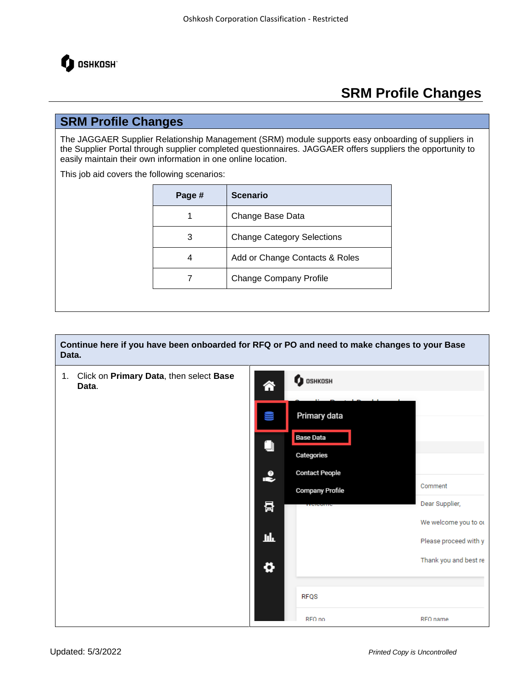

#### **SRM Profile Changes**

The JAGGAER Supplier Relationship Management (SRM) module supports easy onboarding of suppliers in the Supplier Portal through supplier completed questionnaires. JAGGAER offers suppliers the opportunity to easily maintain their own information in one online location.

This job aid covers the following scenarios:

| Page # | <b>Scenario</b>                   |
|--------|-----------------------------------|
| 1      | Change Base Data                  |
| 3      | <b>Change Category Selections</b> |
| 4      | Add or Change Contacts & Roles    |
|        | <b>Change Company Profile</b>     |

**Continue here if you have been onboarded for RFQ or PO and need to make changes to your Base Data.**

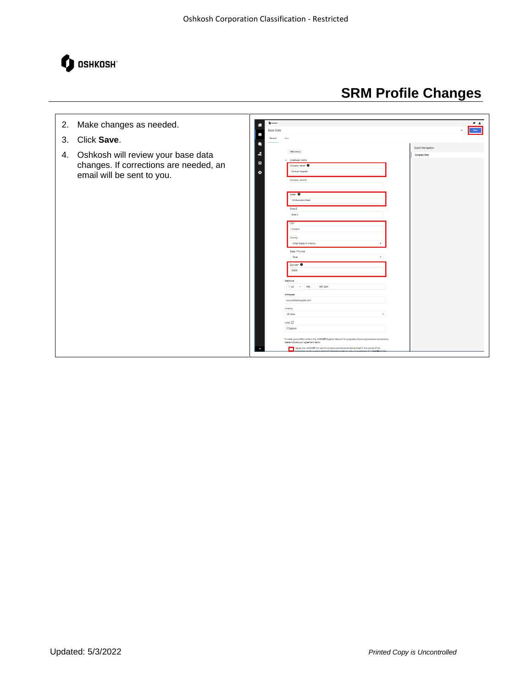

#### $\overline{1}$ 2. Make changes as needed. ◈ Base Data  $\mid$  Since  $\mid$ e<br>S 3. Click **Save**.  $\bullet$ ÷ 4. Oshkosh will review your base data ny Data  $\ddot{\mathbf{a}}$ changes. If corrections are needed, an ¢ Oshkosh Supplie email will be sent to you.Suite 3 Ananus  $1 - US$  $\overline{\mathcal{L}}$ **COLLEGE** iage US dell  $Duns$   $2$ To make y<br>please in:  $\Box$  lagree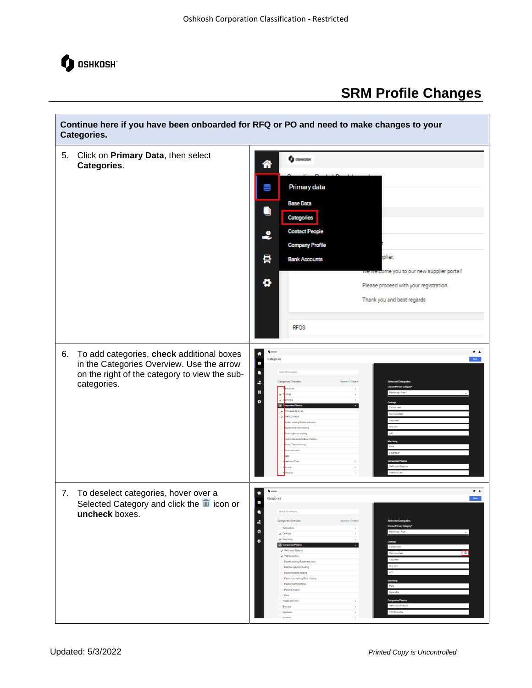

Г

# **SRM Profile Changes**

٦

| Continue here if you have been onboarded for RFQ or PO and need to make changes to your<br>Categories.                                                       |                                                                                                                                                                                                                                                                                                                                                                                                                                                                                                                                                                                                                                                                                                                                                                                                                                                             |  |  |  |
|--------------------------------------------------------------------------------------------------------------------------------------------------------------|-------------------------------------------------------------------------------------------------------------------------------------------------------------------------------------------------------------------------------------------------------------------------------------------------------------------------------------------------------------------------------------------------------------------------------------------------------------------------------------------------------------------------------------------------------------------------------------------------------------------------------------------------------------------------------------------------------------------------------------------------------------------------------------------------------------------------------------------------------------|--|--|--|
| Click on Primary Data, then select<br>5.<br>Categories.                                                                                                      | <b>Q</b> concose<br>⋘<br>Primary data<br><b>Base Data</b><br>۸<br>Categories<br><b>Contact People</b><br>•<br><b>Company Profile</b><br>晷<br>xplier,<br><b>Bank Accounts</b><br>we welcome you to our new supplier portal!<br>۰<br>Please proceed with your registration.<br>Thank you and best regards<br><b>RFQS</b>                                                                                                                                                                                                                                                                                                                                                                                                                                                                                                                                      |  |  |  |
| To add categories, check additional boxes<br>6.<br>in the Categories Overview. Use the arrow<br>on the right of the category to view the sub-<br>categories. | $\bullet$ 1<br>$\boldsymbol{\theta}$ cosmiss<br>舎<br>Categories<br>Since $\gamma$<br>(i)<br>ä<br>Search for category.<br>2<br>Categories Overview<br><b>Downd AT   Close AT</b><br>sted Categoria<br>景<br>۰<br>Carbon stee<br>Stainless steel<br>Alloy steel<br>Gray Iron<br>ADI<br>ing/Blow molding<br>stic Thermoformin<br>Plate<br>Square Bar<br><b>Is and Tires</b><br>Wet Layup/Spray up<br>VARTM/VARM                                                                                                                                                                                                                                                                                                                                                                                                                                                 |  |  |  |
| To deselect categories, hover over a<br>7.<br>Selected Category and click the $\frac{m}{n}$ icon or<br>uncheck boxes.                                        | $\bullet$ 1<br><b>Q</b> osmas<br>舎<br>Categories<br>Save<br>Œ,<br>Search for category.<br>٠<br>Expand All   Close All<br>Categories Overview<br><b>Selected Categories</b><br>£<br>Choose Primary Category<br>Fabrications<br>員<br>Machining - Plate<br>$\sqrt{\phantom{a}}$ Castings<br>$\blacktriangledown$ Machining<br>٠<br>Castings<br>$\sqrt{\phantom{a}}$ Composites/Plastics<br>Carbon steel<br>Wet Layup/Spray up<br>音<br>Stainless steel<br>V VARTM/VARIM<br>Alloy steel<br>Rubber molding/Rubber extrusion<br>Gray Iron<br>Reaction Injection molding<br>ADI<br>Plastic Injection molding<br>Plastic roto molding/Blow molding<br>Machining<br>Plastic Thermoforming<br>Plate<br>Plastic extrusio<br>Square Bar<br>Cabs<br>Composites/Pla<br>Wheels and Tires<br>Wet Layup/Spray up<br>Electrical<br>×<br>VARTM/VARIM<br>Hydraulics<br>Driveline |  |  |  |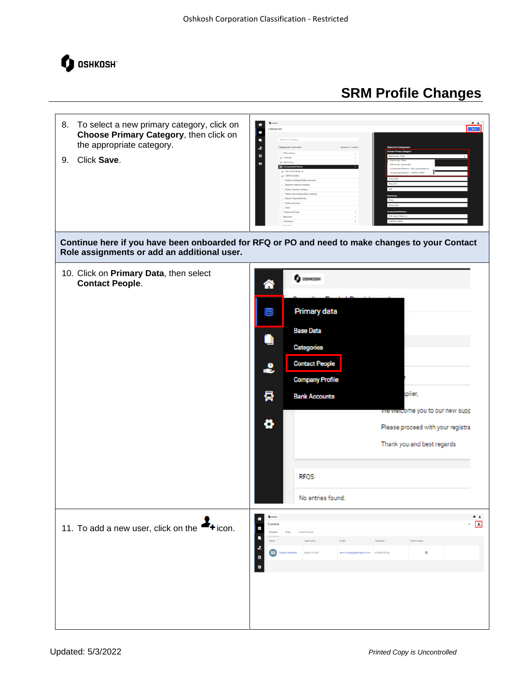

- 8. To select a new primary category, click on **Choose Primary Category**, then click on the appropriate category.
- 9. Click **Save**.



**Continue here if you have been onboarded for RFQ or PO and need to make changes to your Contact Role assignments or add an additional user.**

| 10. Click on Primary Data, then select<br><b>Contact People.</b> | <mark>솖</mark><br>Œ<br>۰<br>•<br>륡<br>ø                                                               | <b>Q</b> oswosy<br><b>Primary data</b><br><b>Base Data</b><br>Categories<br><b>Contact People</b><br><b>Company Profile</b><br>plier,<br><b>Bank Accounts</b><br>we welcome you to our new supp<br>Please proceed with your registra<br>Thank you and best regards<br><b>RFQS</b><br>No entries found. |
|------------------------------------------------------------------|-------------------------------------------------------------------------------------------------------|--------------------------------------------------------------------------------------------------------------------------------------------------------------------------------------------------------------------------------------------------------------------------------------------------------|
| 11. To add a new user, click on the $\rightarrow$ icon.          | <b>Q</b> ossess<br>舎<br>Contacts<br>O<br>Contacts<br>٠<br>Name<br>$\ddot{\textbf{z}}$<br>SS<br>景<br>ø | $\bullet$<br>$\epsilon$ . $\Box$<br>Linked Contacts<br>Login name<br>EMail<br>Telephone<br>Portal Access<br>$\bullet$<br>portal.1511829<br>$+18005551234$                                                                                                                                              |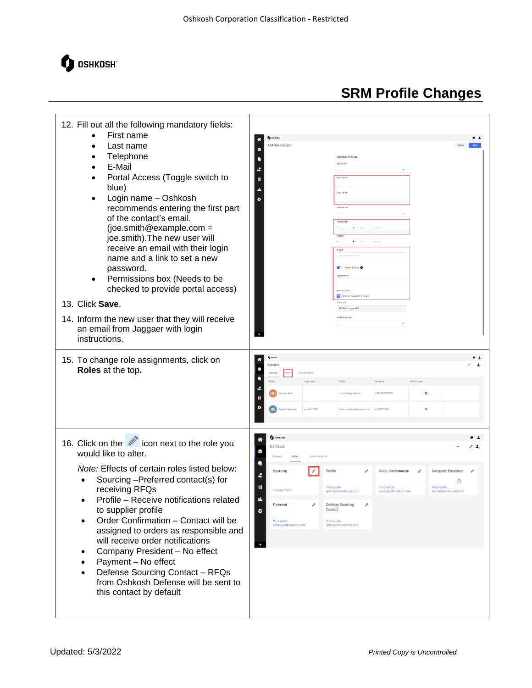

#### 12. Fill out all the following mandatory fields: • First name  $\bullet$   $\bullet$ Last name • Telephone D • E-Mail Ŀ. • Portal Access (Toggle switch to 듉 blue) • Login name – Oshkosh recommends entering the first part of the contact's email. (joe.smith@example.com = joe.smith).The new user will receive an email with their login name and a link to set a new password. ÷ Permissions box (Needs to be checked to provide portal access) 13. Click **Save**. 14. Inform the new user that they will receive an email from Jaggaer with login instructions. 15. To change role assignments, click on ä, **Roles** at the top**.**  $\mathbf{a}$ Ō.  $\bullet$   $\bullet$ 16. Click on the  $\mathbb Z$  icon next to the role you ◈ Contacts  $\geq 1$ e) would like to alter.  $\bullet$ *Note:* Effects of certain roles listed below: Profile ÷ • Sourcing –Preferred contact(s) for رسالي  $\overline{R}$ receiving RFQs n. • Profile – Receive notifications related **Payment** Defense So to supplier profile ö • Order Confirmation – Contact will be assigned to orders as responsible and will receive order notifications • Company President – No effect • Payment – No effect • Defense Sourcing Contact – RFQs from Oshkosh Defense will be sent to this contact by default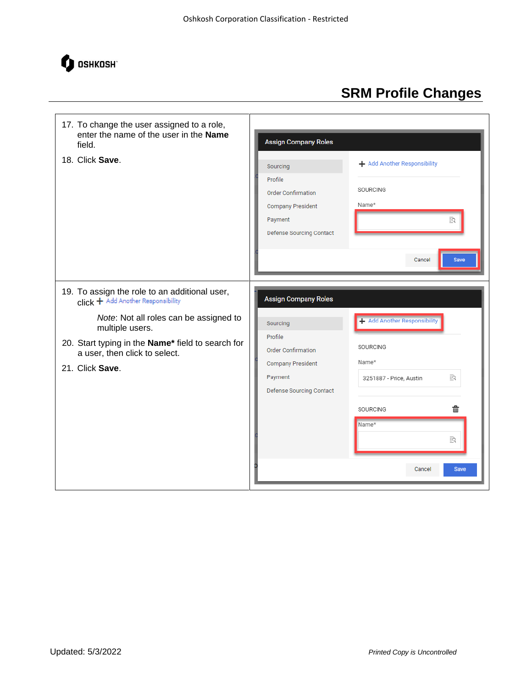

| 17. To change the user assigned to a role,<br>enter the name of the user in the Name<br>field.<br>18. Click Save.                                                                                                                                         | <b>Assign Company Roles</b><br>Sourcing<br>Profile<br><b>Order Confirmation</b><br><b>Company President</b><br>Payment<br>Defense Sourcing Contact | + Add Another Responsibility<br>SOURCING<br>Name*<br>ΞQ<br><b>Save</b><br>Cancel                                                        |
|-----------------------------------------------------------------------------------------------------------------------------------------------------------------------------------------------------------------------------------------------------------|----------------------------------------------------------------------------------------------------------------------------------------------------|-----------------------------------------------------------------------------------------------------------------------------------------|
| 19. To assign the role to an additional user,<br>click + Add Another Responsibility<br>Note: Not all roles can be assigned to<br>multiple users.<br>20. Start typing in the Name* field to search for<br>a user, then click to select.<br>21. Click Save. | <b>Assign Company Roles</b><br>Sourcing<br>Profile<br><b>Order Confirmation</b><br><b>Company President</b><br>Payment<br>Defense Sourcing Contact | Add Another Responsibility<br>SOURCING<br>Name*<br>取<br>3251887 - Price, Austin<br>霝<br>SOURCING<br>Name*<br>取<br>Cancel<br><b>Save</b> |